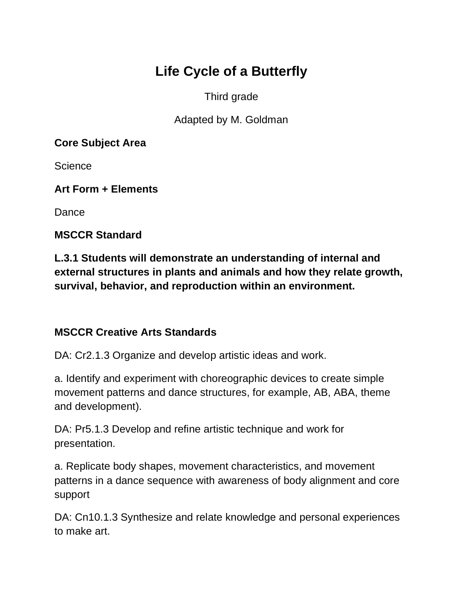# **Life Cycle of a Butterfly**

Third grade

Adapted by M. Goldman

**Core Subject Area**

**Science** 

**Art Form + Elements**

Dance

**MSCCR Standard**

**L.3.1 Students will demonstrate an understanding of internal and external structures in plants and animals and how they relate growth, survival, behavior, and reproduction within an environment.**

## **MSCCR Creative Arts Standards**

DA: Cr2.1.3 Organize and develop artistic ideas and work.

a. Identify and experiment with choreographic devices to create simple movement patterns and dance structures, for example, AB, ABA, theme and development).

DA: Pr5.1.3 Develop and refine artistic technique and work for presentation.

a. Replicate body shapes, movement characteristics, and movement patterns in a dance sequence with awareness of body alignment and core support

DA: Cn10.1.3 Synthesize and relate knowledge and personal experiences to make art.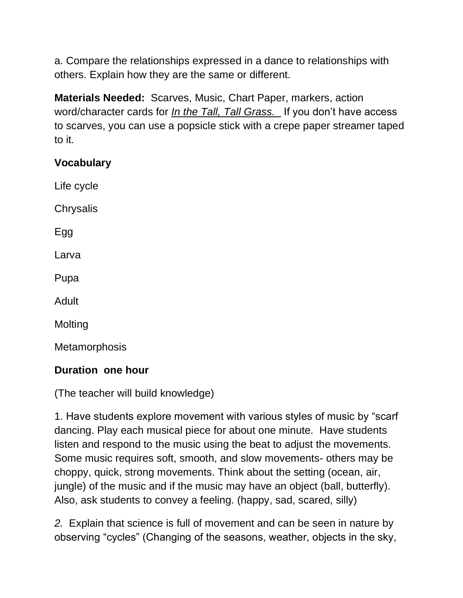a. Compare the relationships expressed in a dance to relationships with others. Explain how they are the same or different.

**Materials Needed:** Scarves, Music, Chart Paper, markers, action word/character cards for *In the Tall, Tall Grass.* If you don't have access to scarves, you can use a popsicle stick with a crepe paper streamer taped to it.

## **Vocabulary**

Life cycle **Chrysalis** Egg Larva Pupa Adult **Molting Metamorphosis** 

## **Duration one hour**

(The teacher will build knowledge)

1. Have students explore movement with various styles of music by "scarf dancing. Play each musical piece for about one minute. Have students listen and respond to the music using the beat to adjust the movements. Some music requires soft, smooth, and slow movements- others may be choppy, quick, strong movements. Think about the setting (ocean, air, jungle) of the music and if the music may have an object (ball, butterfly). Also, ask students to convey a feeling. (happy, sad, scared, silly)

*2.* Explain that science is full of movement and can be seen in nature by observing "cycles" (Changing of the seasons, weather, objects in the sky,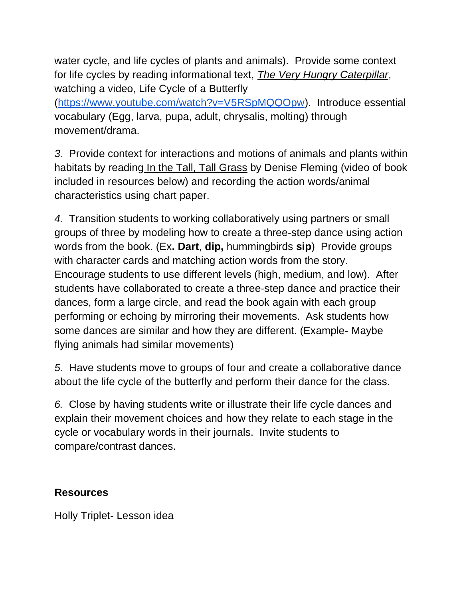water cycle, and life cycles of plants and animals). Provide some context for life cycles by reading informational text, *The Very Hungry Caterpillar*, watching a video, Life Cycle of a Butterfly [\(https://www.youtube.com/watch?v=V5RSpMQQOpw\)](https://www.youtube.com/watch?v=V5RSpMQQOpw). Introduce essential vocabulary (Egg, larva, pupa, adult, chrysalis, molting) through movement/drama.

*3.* Provide context for interactions and motions of animals and plants within habitats by reading In the Tall, Tall Grass by Denise Fleming (video of book included in resources below) and recording the action words/animal characteristics using chart paper.

*4.* Transition students to working collaboratively using partners or small groups of three by modeling how to create a three-step dance using action words from the book. (Ex**. Dart**, **dip,** hummingbirds **sip**) Provide groups with character cards and matching action words from the story. Encourage students to use different levels (high, medium, and low). After students have collaborated to create a three-step dance and practice their dances, form a large circle, and read the book again with each group performing or echoing by mirroring their movements. Ask students how some dances are similar and how they are different. (Example- Maybe flying animals had similar movements)

*5.* Have students move to groups of four and create a collaborative dance about the life cycle of the butterfly and perform their dance for the class.

*6.* Close by having students write or illustrate their life cycle dances and explain their movement choices and how they relate to each stage in the cycle or vocabulary words in their journals. Invite students to compare/contrast dances.

### **Resources**

Holly Triplet- Lesson idea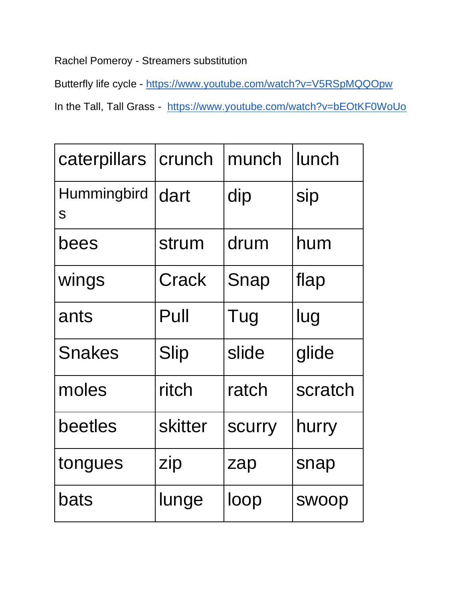Rachel Pomeroy - Streamers substitution

Butterfly life cycle - <https://www.youtube.com/watch?v=V5RSpMQQOpw>

In the Tall, Tall Grass - <https://www.youtube.com/watch?v=bEOtKF0WoUo>

| caterpillars            | crunch         | munch         | lunch        |
|-------------------------|----------------|---------------|--------------|
| <b>Hummingbird</b><br>S | dart           | dip           | sip          |
| bees                    | strum          | drum          | hum          |
| wings                   | Crack          | Snap          | flap         |
| ants                    | Pull           | Tug           | lug          |
| <b>Snakes</b>           | <b>Slip</b>    | slide         | glide        |
| moles                   | ritch          | ratch         | scratch      |
| beetles                 | <b>skitter</b> | <b>SCUITY</b> | hurry        |
| tongues                 | zip            | zap           | snap         |
| bats                    | lunge          | loop          | <b>SWOOD</b> |